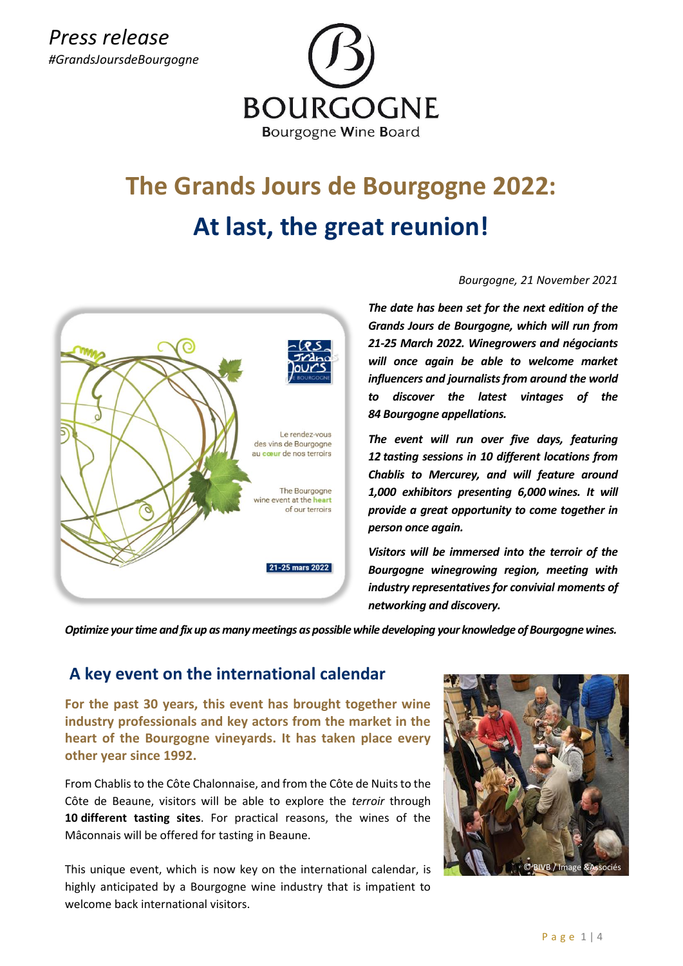

# **The Grands Jours de Bourgogne 2022: At last, the great reunion!**



#### *Bourgogne, 21 November 2021*

*The date has been set for the next edition of the Grands Jours de Bourgogne, which will run from 21-25 March 2022. Winegrowers and négociants will once again be able to welcome market influencers and journalists from around the world to discover the latest vintages of the 84 Bourgogne appellations.*

*The event will run over five days, featuring 12 tasting sessions in 10 different locations from Chablis to Mercurey, and will feature around 1,000 exhibitors presenting 6,000 wines. It will provide a great opportunity to come together in person once again.*

*Visitors will be immersed into the terroir of the Bourgogne winegrowing region, meeting with industry representatives for convivial moments of networking and discovery.*

*Optimize your time and fix up as many meetings as possible while developing your knowledge of Bourgogne wines.*

# <sup>g</sup>**A key event on the international calendar**

**For the past 30 years, this event has brought together wine industry professionals and key actors from the market in the heart of the Bourgogne vineyards. It has taken place every other year since 1992.** 

From Chablis to the Côte Chalonnaise, and from the Côte de Nuits to the Côte de Beaune, visitors will be able to explore the *terroir* through **10 different tasting sites**. For practical reasons, the wines of the Mâconnais will be offered for tasting in Beaune.

This unique event, which is now key on the international calendar, is highly anticipated by a Bourgogne wine industry that is impatient to welcome back international visitors.

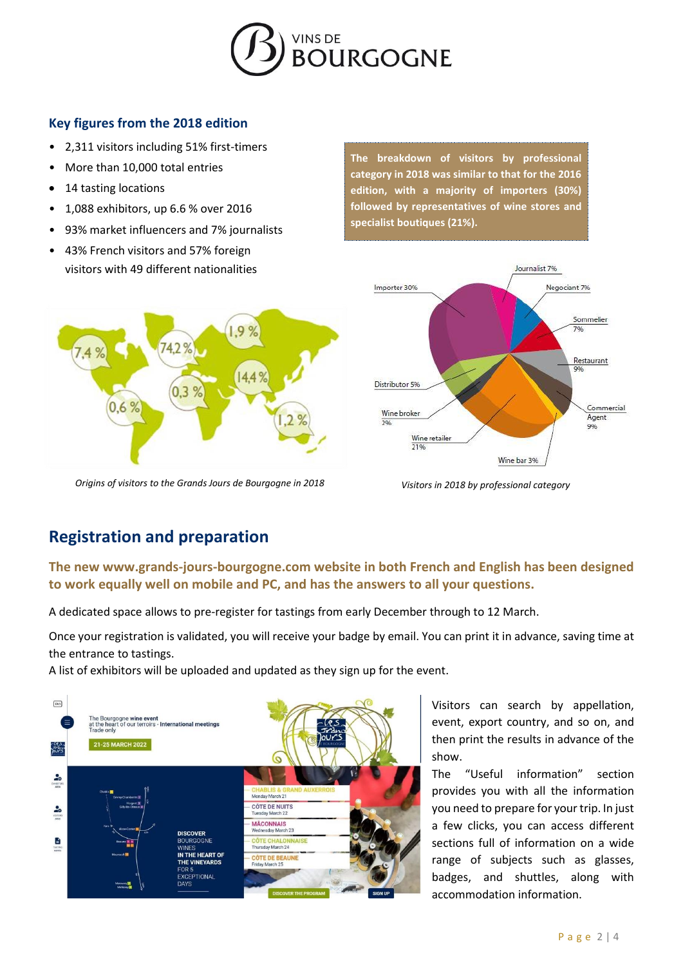

### **Key figures from the 2018 edition**

- 2,311 visitors including 51% first-timers
- More than 10,000 total entries
- 14 tasting locations

 $0.6%$ 

- 1,088 exhibitors, up 6.6 % over 2016
- 93% market influencers and 7% journalists

742%

 $0.3$ 

• 43% French visitors and 57% foreign visitors with 49 different nationalities **The breakdown of visitors by professional category in 2018 was similar to that for the 2016 edition, with a majority of importers (30%) followed by representatives of wine stores and specialist boutiques (21%).**



*Origins of visitors to the Grands Jours de Bourgogne in 2018 Visitors in 2018 by professional category*

# **Registration and preparation**

# **The new [www.grands-jours-bourgogne.com](http://www.grands-jours-bourgogne.com/) website in both French and English has been designed to work equally well on mobile and PC, and has the answers to all your questions.**

A dedicated space allows to pre-register for tastings from early December through to 12 March.

Once your registration is validated, you will receive your badge by email. You can print it in advance, saving time at the entrance to tastings.

A list of exhibitors will be uploaded and updated as they sign up for the event.

9



Visitors can search by appellation, event, export country, and so on, and then print the results in advance of the show.

The "Useful information" section provides you with all the information you need to prepare for your trip. In just a few clicks, you can access different sections full of information on a wide range of subjects such as glasses, badges, and shuttles, along with accommodation information.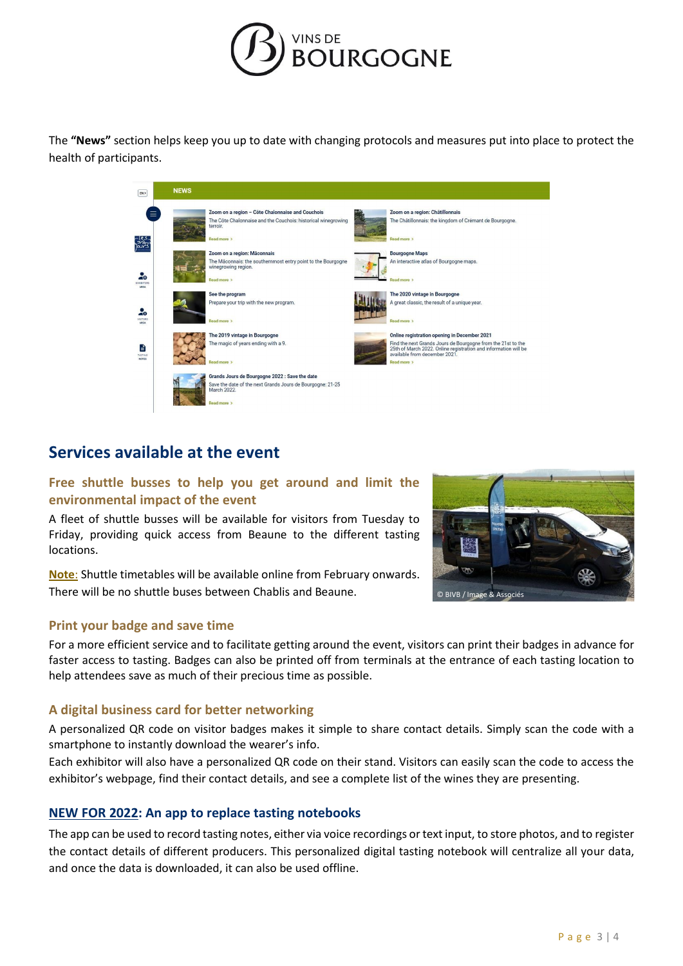

The **"News"** section helps keep you up to date with changing protocols and measures put into place to protect the health of participants.

| EN>                             | <b>NEWS</b> |                                                                                                                                              |                                                                                                                             |
|---------------------------------|-------------|----------------------------------------------------------------------------------------------------------------------------------------------|-----------------------------------------------------------------------------------------------------------------------------|
| Ξ                               |             | Zoom on a region - Côte Chalonnaise and Couchois<br>The Côte Chalonnaise and the Couchois: historical winegrowing<br>terroir.<br>Read more > | Zoom on a region: Châtillonnais<br>The Châtillonnais: the kingdom of Crémant de Bourgogne.<br>Read more >                   |
| ăΘ                              |             | Zoom on a region: Mâconnais<br>The Mâconnais: the southernmost entry point to the Bourgogne<br>winegrowing region.<br>Read more >            | <b>Bourgogne Maps</b><br>An interactive atlas of Bourgogne maps.<br>Read more >                                             |
| EXHIBITORS<br><b>AREA</b><br>÷۰ |             | See the program<br>Prepare your trip with the new program.                                                                                   | The 2020 vintage in Bourgogne<br>A great classic, the result of a unique year.                                              |
| <b>VISITORS</b><br><b>AREA</b>  |             | Read more ><br>The 2019 vintage in Bourgogne<br>The magic of years ending with a 9.                                                          | Read more ><br>Online registration opening in December 2021<br>Find the next Grands Jours de Bourgogne from the 21st to the |
| E<br>TASTING<br><b>NOTES</b>    |             | Read more >                                                                                                                                  | 25th of March 2022. Online registration and information will be<br>available from december 2021.<br>Read more >             |
|                                 |             | Grands Jours de Bourgogne 2022 : Save the date<br>Save the date of the next Grands Jours de Bourgogne: 21-25<br>March 2022.<br>Read more >   |                                                                                                                             |

# **Services available at the event**

#### **Free shuttle busses to help you get around and limit the environmental impact of the event**

A fleet of shuttle busses will be available for visitors from Tuesday to Friday, providing quick access from Beaune to the different tasting locations.

**Note**: Shuttle timetables will be available online from February onwards. There will be no shuttle buses between Chablis and Beaune.

#### **Print your badge and save time**

For a more efficient service and to facilitate getting around the event, visitors can print their badges in advance for faster access to tasting. Badges can also be printed off from terminals at the entrance of each tasting location to help attendees save as much of their precious time as possible.

#### **A digital business card for better networking**

A personalized QR code on visitor badges makes it simple to share contact details. Simply scan the code with a smartphone to instantly download the wearer's info.

Each exhibitor will also have a personalized QR code on their stand. Visitors can easily scan the code to access the exhibitor's webpage, find their contact details, and see a complete list of the wines they are presenting.

#### **NEW FOR 2022: An app to replace tasting notebooks**

The app can be used to record tasting notes, either via voice recordings or text input, to store photos, and to register the contact details of different producers. This personalized digital tasting notebook will centralize all your data, and once the data is downloaded, it can also be used offline.